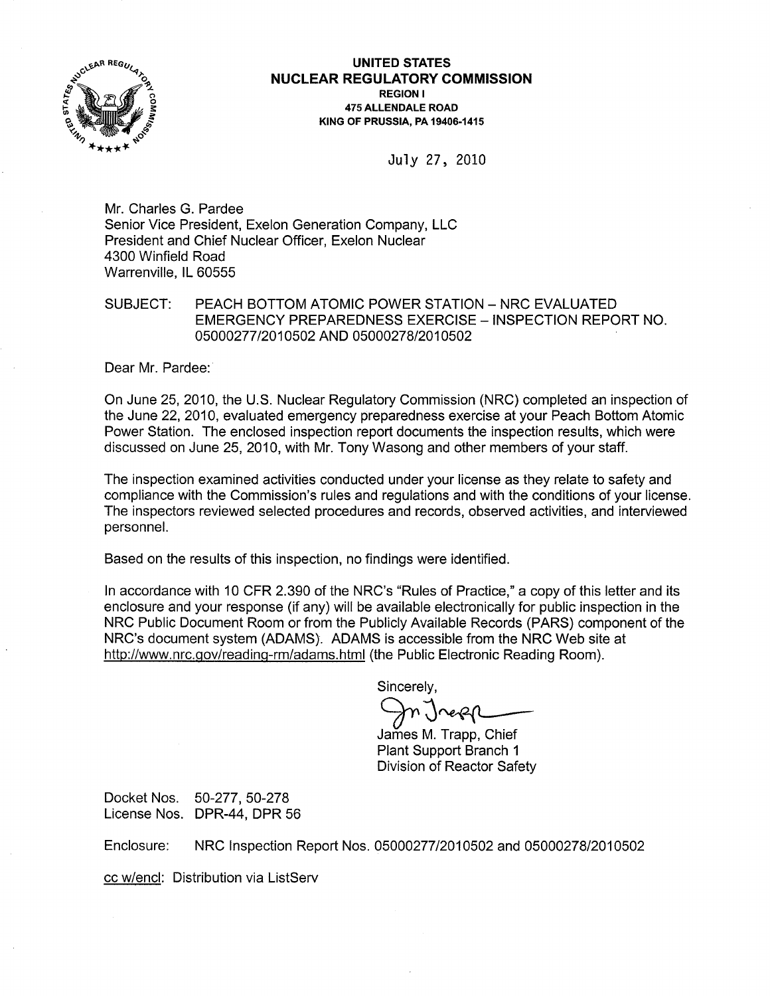

UNITED STATES NUCLEAR REGULATORY COMMISSION REGION I 475 ALLENDALE ROAD KING OF PRUSSIA, PA 19406-1415

July 27, 2010

Mr. Charles G. Pardee Senior Vice President, Exelon Generation Company, LLC President and Chief Nuclear Officer, Exelon Nuclear 4300 Winfield Road Warrenville, IL 60555

## SUBJECT: PEACH BOTTOM ATOMIC POWER STATION - NRC EVALUATED EMERGENCY PREPAREDNESS EXERCISE - INSPECTION REPORT NO. 05000277/2010502 AND 05000278/2010502

Dear Mr. Pardee:

On June 25, 2010, the U.S. Nuclear Regulatory Commission (NRC) completed an inspection of the June 22, 2010, evaluated emergency preparedness exercise at your Peach Bottom Atomic Power Station. The enclosed inspection report documents the inspection results, which were discussed on June 25, 2010, with Mr. Tony Wasong and other members of your staff.

The inspection examined activities conducted under your license as they relate to safety and compliance with the Commission's rules and regulations and with the conditions of your license. The inspectors reviewed selected procedures and records, observed activities, and interviewed personnel.

Based on the results of this inspection, no findings were identified.

In accordance with 10 CFR 2.390 of the NRC's "Rules of Practice," a copy of this letter and its enclosure and your response (if any) will be available electronically for public inspection in the NRC Public Document Room or from the Publicly Available Records (PARS) component of the NRC's document system (ADAMS). ADAMS is accessible from the NRC Web site at http://www.nrc.gov/reading-rm/adams.html(the Public Electronic Reading Room).

Sincerely,

James M. Trapp. Chief Plant Support Branch 1 Division of Reactor Safety

Docket Nos. 50-277, 50-278 License Nos. DPR-44, DPR 56

Enclosure: NRC Inspection Report Nos. 05000277/2010502 and 05000278/2010502

cc w/encl: Distribution via ListServ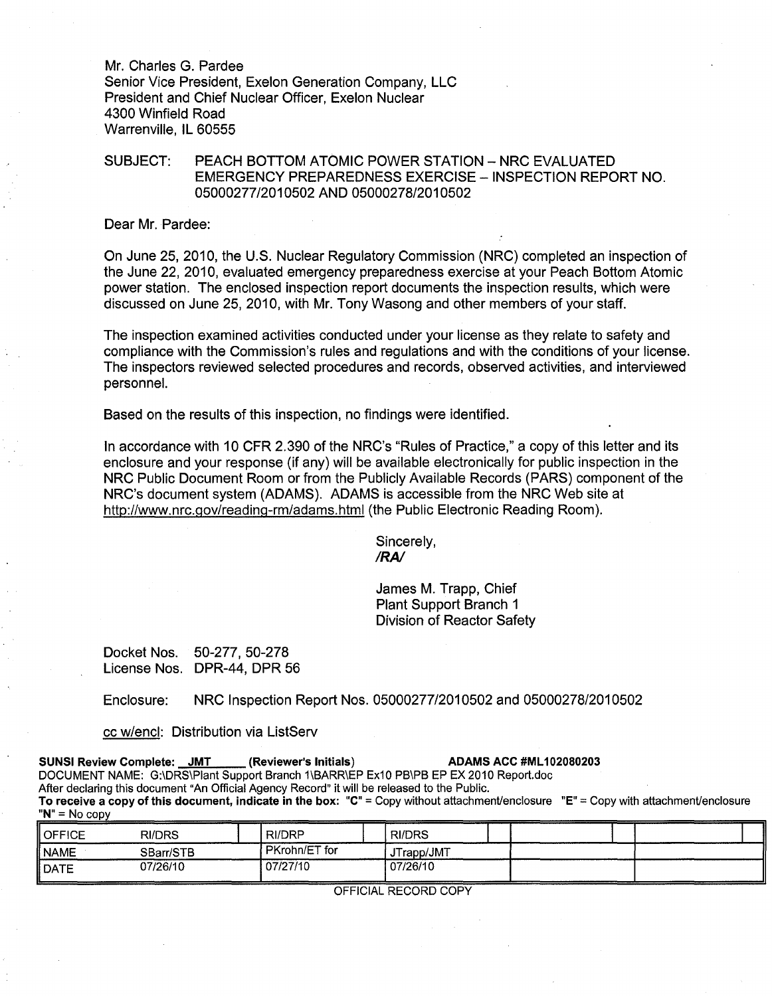Mr. Charles G. Pardee Senior Vice President, Exelon Generation Company, LLC President and Chief Nuclear Officer, Exelon Nuclear 4300 Winfield Road Warrenville, IL 60555

## SUBJECT: PEACH BOTTOM ATOMIC POWER STATION - NRC EVALUATED EMERGENCY PREPAREDNESS EXERCISE - INSPECTION REPORT NO. *05000277/2010502* AND 05000278/2010502

### Dear Mr. Pardee:

On June 25, 2010, the U.S. Nuclear Regulatory Commission (NRC) completed an inspection of the June 22, 2010, evaluated emergency preparedness exercise at your Peach Bottom Atomic power station. The enclosed inspection report documents the inspection results, which were discussed on June 25, 2010, with Mr. Tony Wasong and other members of your staff.

The inspection examined activities conducted under your license as they relate to safety and compliance with the Commission's rules and regulations and with the conditions of your license. The inspectors reviewed selected procedures and records, observed activities, and interviewed personnel.

Based on the results of this inspection, no findings were identified.

In accordance with 10 CFR 2.390 of the NRC's "Rules of Practice," a copy of this letter and its enclosure and your response (if any) will be available electronically for public inspection in the NRC Public Document Room or from the Publicly Available Records (PARS) component of the NRC's document system (ADAMS). ADAMS is accessible from the NRC Web site at http://www.nrc.gov/reading-rm/adams.html(the Public Electronic Reading Room).

> Sincerely, *IRA!*

James M. Trapp, Chief Plant Support Branch 1 Division of Reactor Safety

Docket Nos. 50-277, 50-278 License Nos. DPR-44, DPR 56

Enclosure: NRC Inspection Report Nos. 05000277/2010502 and 05000278/2010502

#### cc w/encl: Distribution via ListServ

| <b>SUNSI Review Complete: JMT</b> | (Reviewer's Initials)                                                                        | <b>ADAMS ACC #ML102080203</b>                                                                                                         |  |
|-----------------------------------|----------------------------------------------------------------------------------------------|---------------------------------------------------------------------------------------------------------------------------------------|--|
|                                   |                                                                                              | DOCUMENT NAME: G:\DRS\Plant Support Branch 1\BARR\EP Ex10 PB\PB EP EX 2010 Report.doc                                                 |  |
|                                   | After declaring this document "An Official Agency Record" it will be released to the Public. |                                                                                                                                       |  |
|                                   |                                                                                              | To receive a copy of this document, indicate in the box: "C" = Copy without attachment/enclosure "E" = Copy with attachment/enclosure |  |
| $"N" = No copv$                   |                                                                                              |                                                                                                                                       |  |

| $\parallel$ OFFICE | <b>RI/DRS</b> | RI/DRP        | ! RI/DRS   |  |
|--------------------|---------------|---------------|------------|--|
| ∥NAME              | SBarr/STB     | PKrohn/ET for | JTrapp/JMT |  |
| II DATE            | 07/26/10      | 07/27/10      | 07/26/10   |  |

OFFICIAL RECORD COpy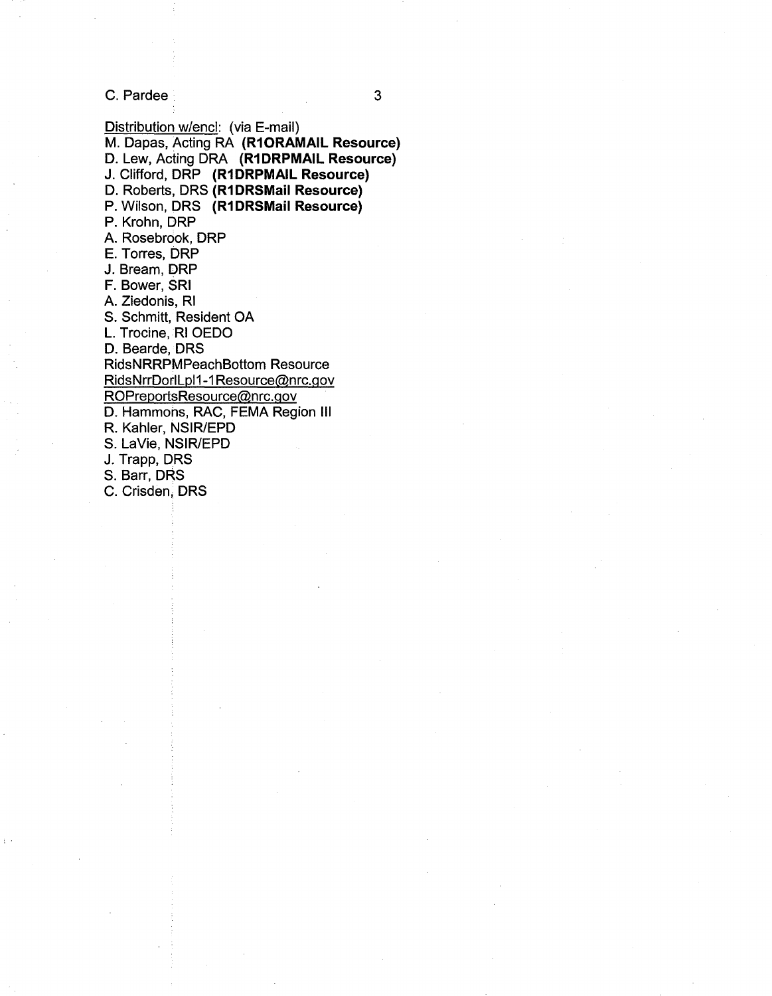C. Pardee 3

Distribution w/encl: (via E-mail) M. Dapas, Acting RA **(R10RAMAIL Resource)**  D. Lew, Acting DRA **(R1 DRPMAIL Resource)**  J. Clifford, DRP **(R1DRPMAIL Resource)**  D. Roberts, DRS **(R1DRSMaii Resource)**  P. Wilson, DRS **(R1DRSMaii Resource)**  P. Krohn, DRP A. Rosebrook, DRP E. Torres, DRP J. Bream, DRP F. Bower, SRI A. Ziedonis, RI S. Schmitt, Resident OA L. Trocine, RI OEDO D. Bearde, DRS RidsNRRPMPeachBottom Resource RidsNrrDorlLpl1-1 Resource@nrc.gov ROPreportsResource@nrc.gov D. Hammons, RAC, FEMA Region III R. Kahler, NSIR/EPD S. LaVie, NSIR/EPD J. Trapp, DRS S. Barr, DRS C. Crisden, DRS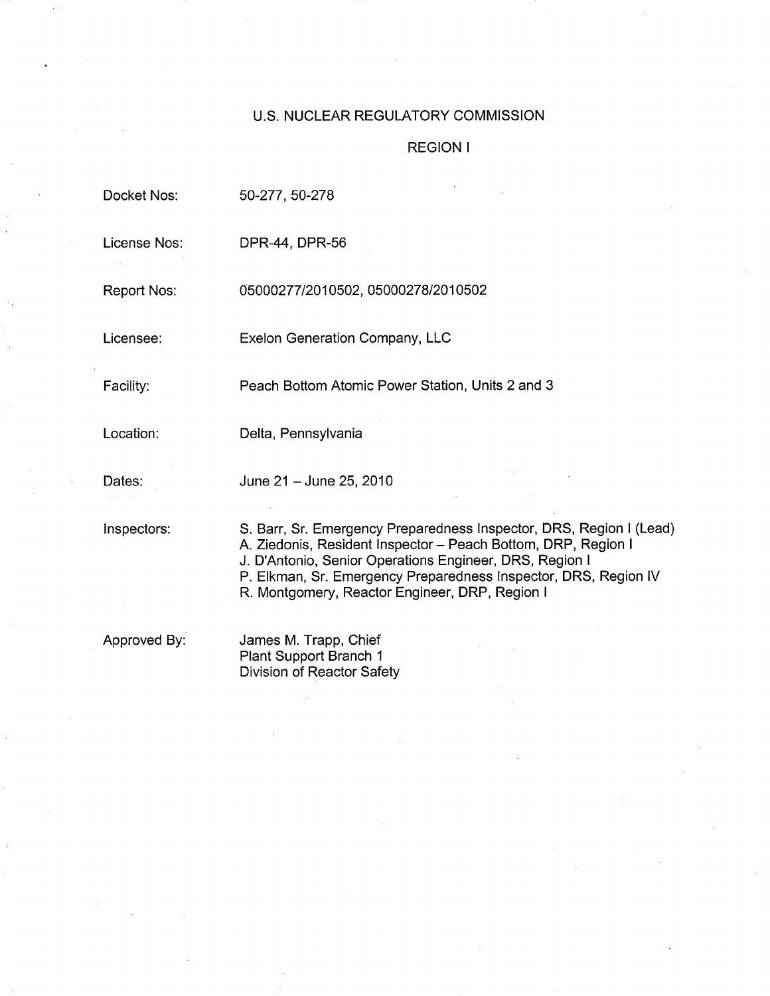## U.S. NUCLEAR REGULATORY COMMISSION

## REGION I

| Docket Nos:        | 50-277, 50-278                                                                                                                                                                                                                                                                                                       |
|--------------------|----------------------------------------------------------------------------------------------------------------------------------------------------------------------------------------------------------------------------------------------------------------------------------------------------------------------|
| License Nos:       | DPR-44, DPR-56                                                                                                                                                                                                                                                                                                       |
| <b>Report Nos:</b> | 05000277/2010502, 05000278/2010502                                                                                                                                                                                                                                                                                   |
| Licensee:          | <b>Exelon Generation Company, LLC</b>                                                                                                                                                                                                                                                                                |
| Facility:          | Peach Bottom Atomic Power Station, Units 2 and 3                                                                                                                                                                                                                                                                     |
| Location:          | Delta, Pennsylvania                                                                                                                                                                                                                                                                                                  |
| Dates:             | June 21 - June 25, 2010                                                                                                                                                                                                                                                                                              |
| Inspectors:        | S. Barr, Sr. Emergency Preparedness Inspector, DRS, Region I (Lead)<br>A. Ziedonis, Resident Inspector - Peach Bottom, DRP, Region I<br>J. D'Antonio, Senior Operations Engineer, DRS, Region I<br>P. Elkman, Sr. Emergency Preparedness Inspector, DRS, Region IV<br>R. Montgomery, Reactor Engineer, DRP, Region I |
| Approved By:       | James M. Trapp, Chief<br>Plant Support Branch 1                                                                                                                                                                                                                                                                      |

Division of Reactor Safety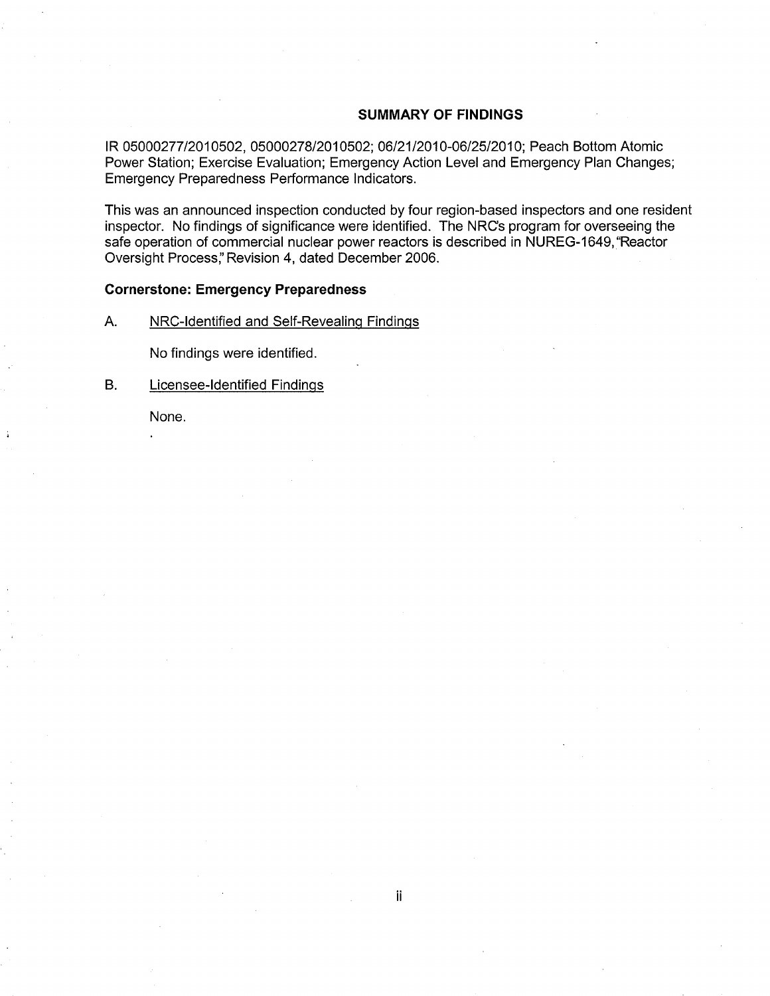## **SUMMARY OF FINDINGS**

**IR** 05000277/2010502, 05000278/2010502; 06/21/2010-06/25/2010; Peach Bottom Atomic Power Station; Exercise Evaluation; Emergency Action Level and Emergency Plan Changes; Emergency Preparedness Performance Indicators.

This was an announced inspection conducted by four region-based inspectors and one resident inspector. No findings of significance were identified. The NRCs program for overseeing the safe operation of commercial nuclear power reactors is described in NUREG-1649, "Reactor Oversight Process;' Revision 4, dated December 2006.

## **Cornerstone: Emergency Preparedness**

A. NRC-Identified and Self-Revealing Findings

No findings were identified.

B. Licensee-Identified Findings

None.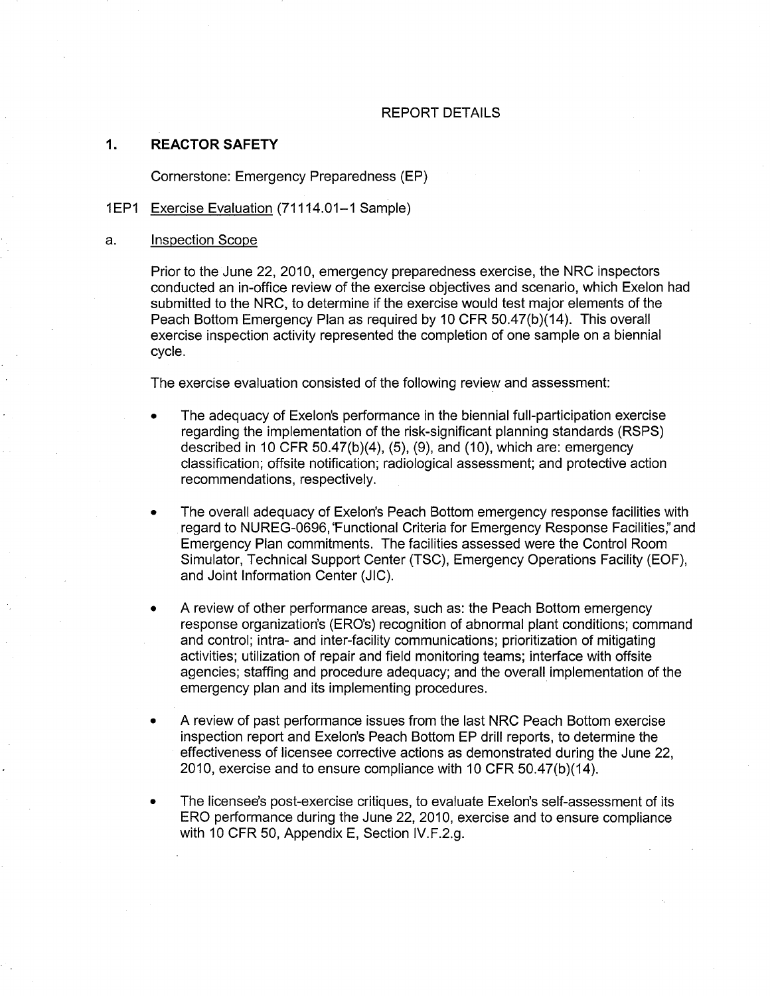## REPORT DETAILS

#### 1. **REACTOR SAFETY**

Cornerstone: Emergency Preparedness (EP)

## 1 EP1 Exercise Evaluation (71114.01-1 Sample)

#### a. Inspection Scope

Prior to the June 22,2010, emergency preparedness exercise, the NRC inspectors conducted an in-office review of the exercise objectives and scenario, which Exelon had submitted to the NRC, to determine if the exercise would test major elements of the Peach Bottom Emergency Plan as required by 10 CFR 50.47(b)(14). This overall exercise inspection activity represented the completion of one sample on a biennial cycle.

The exercise evaluation consisted of the following review and assessment:

- The adequacy of Exelon's performance in the biennial full-participation exercise regarding the implementation of the risk-significant planning standards (RSPS) described in 10 CFR 50.47(b)(4), (5), (9), and (10), which are: emergency classification; offsite notification; radiological assessment; and protective action recommendations, respectively.
- The overall adequacy of Exelon's Peach Bottom emergency response facilities with regard to NUREG-0696, 'Functional Criteria for Emergency Response Facilities:' and Emergency Plan commitments. The facilities assessed were the Control Room Simulator, Technical Support Center (TSC), Emergency Operations Facility (EOF), and Joint Information Center (JIC).
- A review of other performance areas, such as: the Peach Bottom emergency response organization's (ERO's) recognition of abnormal plant conditions; command and control; intra- and inter-facility communications; prioritization of mitigating activities; utilization of repair and field monitoring teams; interface with offsite agencies; staffing and procedure adequacy; and the overall implementation of the emergency plan and its implementing procedures.
- A review of past performance issues from the last NRC Peach Bottom exercise inspection report and Exelon's Peach Bottom EP drill reports, to determine the effectiveness of licensee corrective actions as demonstrated during the June 22, 2010, exercise and to ensure compliance with 10 CFR 50.47(b)(14).
- The licensee's post-exercise critiques, to evaluate Exelon's self-assessment of its ERO performance during the June 22, 2010, exercise and to ensure compliance with 10 CFR 50, Appendix E, Section IV.F.2.g.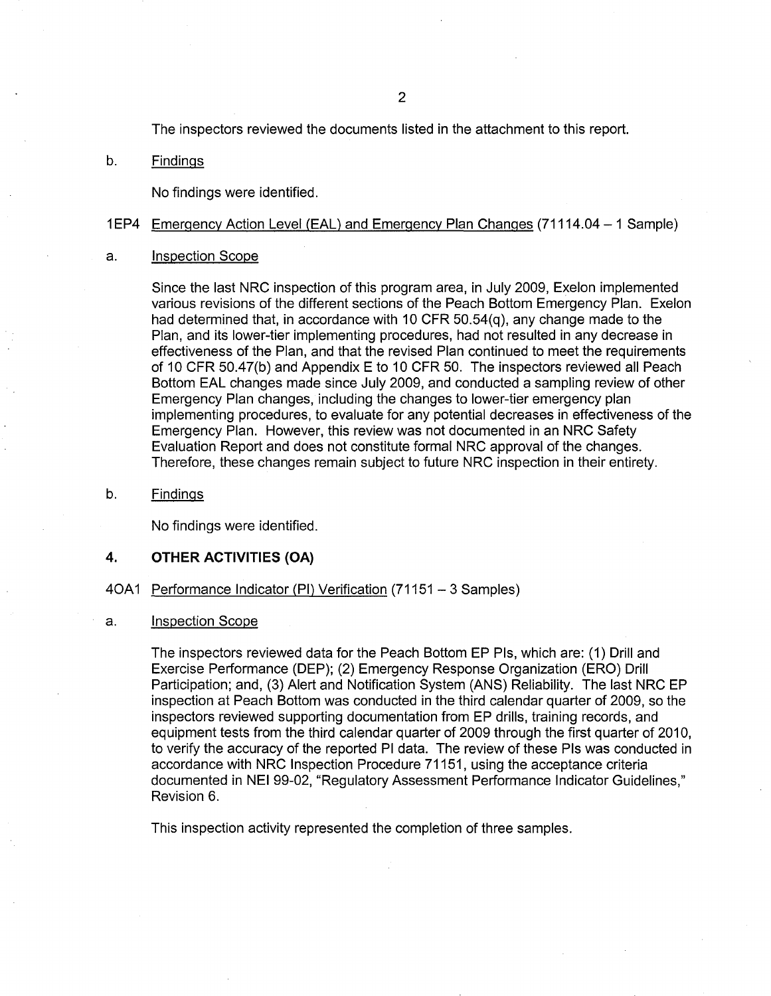The inspectors reviewed the documents listed in the attachment to this report.

b. Findings

No findings were identified.

## 1 EP4 Emergency Action Level (EAL) and Emergency Plan Changes (71114.04 - 1 Sample)

#### a. Inspection Scope

Since the last NRC inspection of this program area, in July 2009, Exelon implemented various revisions of the different sections of the Peach Bottom Emergency Plan. Exelon had determined that, in accordance with 10 CFR 50.54(q), any change made to the Plan, and its lower-tier implementing procedures, had not resulted in any decrease in effectiveness of the Plan, and that the revised Plan continued to meet the requirements of 10 CFR 50.47(b) and Appendix E to 10 CFR 50. The inspectors reviewed all Peach Bottom EAL changes made since July 2009, and conducted a sampling review of other Emergency Plan changes, including the changes to lower-tier emergency plan implementing procedures, to evaluate for any potential decreases in effectiveness of the Emergency Plan. However, this review was not documented in an NRC Safety Evaluation Report and does not constitute formal NRC approval of the changes. Therefore, these changes remain subject to future NRC inspection in their entirety.

b. Findings

No findings were identified.

## 4. **OTHER ACTIVITIES (OA)**

## 40A1 Performance Indicator (PI) Verification (71151 - 3 Samples)

#### a. Inspection Scope

The inspectors reviewed data for the Peach Bottom EP Pis, which are: (1) Drill and Exercise Performance (DEP); (2) Emergency Response Organization (ERO) Drill Participation; and, (3) Alert and Notification System (ANS) Reliability. The last NRC EP inspection at Peach Bottom was conducted in the third calendar quarter of 2009, so the inspectors reviewed supporting documentation from EP drills, training records, and equipment tests from the third calendar quarter of 2009 through the first quarter of 2010, to verify the accuracy of the reported PI data. The review of these Pis was conducted in accordance with NRC Inspection Procedure 71151, using the acceptance criteria documented in NEI 99-02, "Regulatory Assessment Performance Indicator Guidelines," Revision 6.

This inspection activity represented the completion of three samples.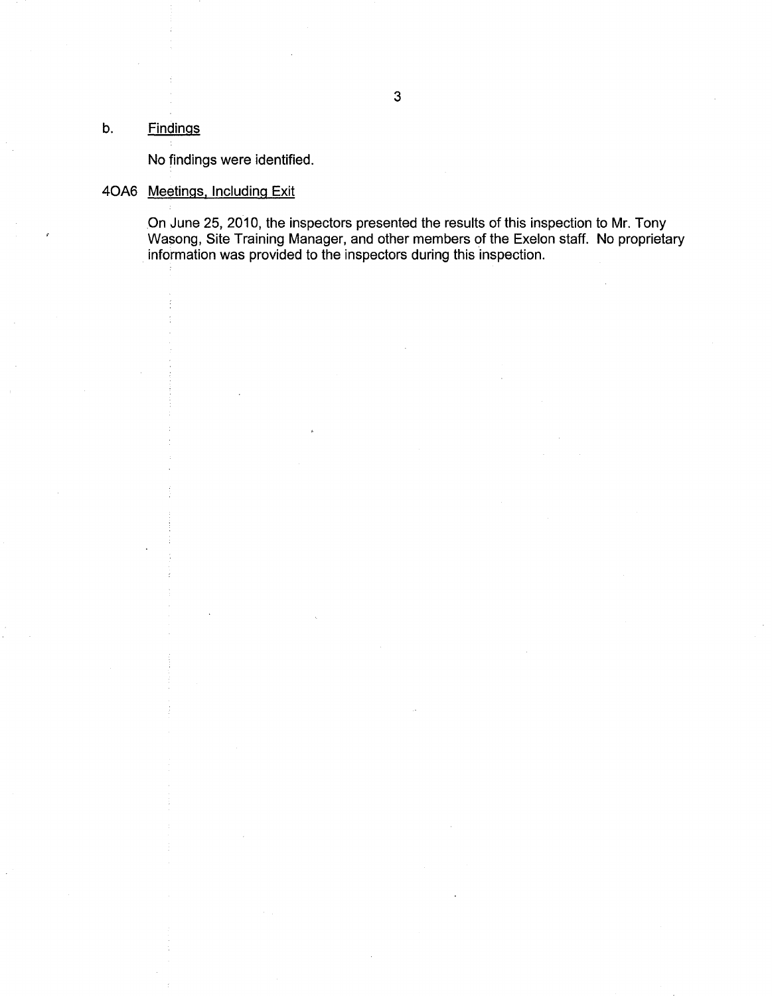## b. Findings

No findings were identified.

## 40A6 Meetings. Including Exit

On June 25, 2010, the inspectors presented the results of this inspection to Mr. Tony Wasong, Site Training Manager, and other members of the Exelon staff. No proprietary information was provided to the inspectors during this inspection.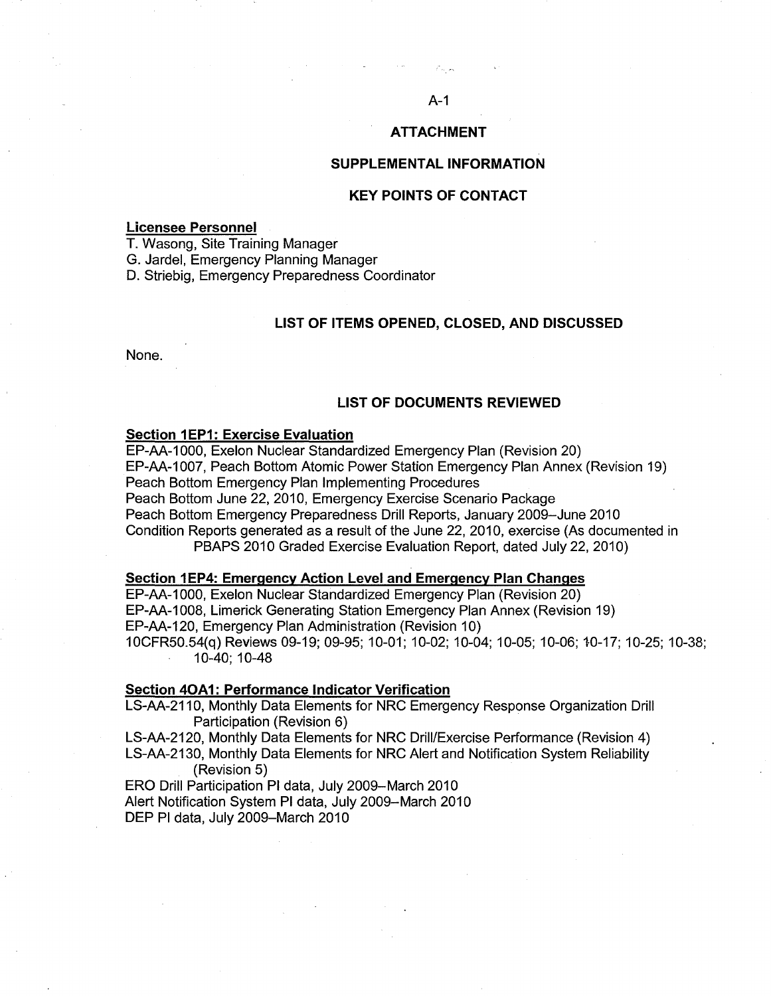#### **ATTACHMENT**

#### **SUPPLEMENTAL INFORMATION**

### **KEY POINTS OF CONTACT**

#### **Licensee Personnel**

T. Wasong, Site Training Manager

G. Jardel, Emergency Planning Manager

D. Striebig, Emergency Preparedness Coordinator

## **LIST OF ITEMS OPENED, CLOSED, AND DISCUSSED**

None.

#### **LIST OF DOCUMENTS REVIEWED**

#### **Section 1 EP1: Exercise Evaluation**

EP-AA-1000, Exelon Nuclear Standardized Emergency Plan (Revision 20) EP-AA-1007, Peach Bottom Atomic Power Station Emergency Plan Annex (Revision 19) Peach Bottom Emergency Plan Implementing Procedures Peach Bottom June 22, 2010, Emergency Exercise Scenario Package Peach Bottom Emergency Preparedness Drill Reports, January 2009-June 2010 Condition Reports generated as a result of the June 22, 2010, exercise (As documented in PBAPS 2010 Graded Exercise Evaluation Report, dated July 22, 2010)

#### **Section 1EP4: Emergency Action Level and Emergency Plan Changes**

EP-AA-1000, Exelon Nuclear Standardized Emergency Plan (Revision 20) EP-AA-1008, Limerick Generating Station Emergency Plan Annex (Revision 19) EP-AA-120, Emergency Plan Administration (Revision 10) 10CFR50.54(q) Reviews 09-19; 09-95; 10-01; 10-02; 10-04; 10-05; 10-06; 10-17; 10-25; 10-38; 10-40; 10-48

#### **Section 40A1: Performance Indicator Verification**

LS-AA-2110, Monthly Data Elements for NRC Emergency Response Organization Drill Participation (Revision 6)

LS-AA-2120, Monthly Data Elements for NRC Drill/Exercise Performance (Revision 4) LS-AA-2130, Monthly Data Elements for NRC Alert and Notification System Reliability (Revision 5)

ERO Drill Participation PI data, July 2009-March 2010 Alert Notification System PI data, July 2009-March 2010 DEP PI data, July 2009-March 2010

#### A-1